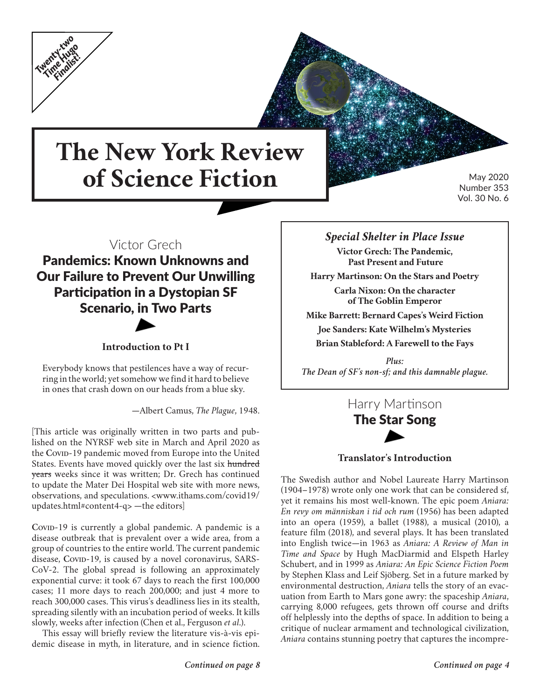

# **The New York Review of Science Fiction**

May 2020 Number 353 Vol. 30 No. 6

## Victor Grech Pandemics: Known Unknowns and Our Failure to Prevent Our Unwilling Participation in a Dystopian SF Scenario, in Two Parts

#### **Introduction to Pt I**

Everybody knows that pestilences have a way of recurring in the world; yet somehow we find it hard to believe in ones that crash down on our heads from a blue sky.

—Albert Camus, *The Plague*, 1948.

[This article was originally written in two parts and published on the NYRSF web site in March and April 2020 as the Cov<sub>ID</sub>-19 pandemic moved from Europe into the United States. Events have moved quickly over the last six hundred years weeks since it was written; Dr. Grech has continued to update the Mater Dei Hospital web site with more news, observations, and speculations. <[www.ithams.com/covid19/](http://www.ithams.com/covid19/updates.html%23content4-q) [updates.html#content4-q](http://www.ithams.com/covid19/updates.html%23content4-q)> —the editors]

Covid-19 is currently a global pandemic. A pandemic is a disease outbreak that is prevalent over a wide area, from a group of countries to the entire world. The current pandemic disease, Cov<sub>ID</sub>-19, is caused by a novel coronavirus, SARS-CoV-2. The global spread is following an approximately exponential curve: it took 67 days to reach the first 100,000 cases; 11 more days to reach 200,000; and just 4 more to reach 300,000 cases. This virus's deadliness lies in its stealth, spreading silently with an incubation period of weeks. It kills slowly, weeks after infection (Chen et al., Ferguson *et al*.).

This essay will briefly review the literature vis-à-vis epidemic disease in myth, in literature, and in science fiction. *Special Shelter in Place Issue*

**Victor Grech: The Pandemic, Past Present and Future**

**Harry Martinson: On the Stars and Poetry**

**Carla Nixon: On the character of The Goblin Emperor**

**Mike Barrett: Bernard Capes's Weird Fiction**

**Joe Sanders: Kate Wilhelm's Mysteries Brian Stableford: A Farewell to the Fays**

*Plus: The Dean of SF's non-sf; and this damnable plague.*

> Harry Martinson The Star Song

#### **Translator's Introduction**

The Swedish author and Nobel Laureate Harry Martinson (1904–1978) wrote only one work that can be considered sf, yet it remains his most well-known. The epic poem *Aniara: En revy om människan i tid och rum* (1956) has been adapted into an opera (1959), a ballet (1988), a musical (2010), a feature film (2018), and several plays. It has been translated into English twice—in 1963 as *Aniara: A Review of Man in Time and Space* by Hugh MacDiarmid and Elspeth Harley Schubert, and in 1999 as *Aniara: An Epic Science Fiction Poem* by Stephen Klass and Leif Sjöberg. Set in a future marked by environmental destruction, *Aniara* tells the story of an evacuation from Earth to Mars gone awry: the spaceship *Aniara*, carrying 8,000 refugees, gets thrown off course and drifts off helplessly into the depths of space. In addition to being a critique of nuclear armament and technological civilization, *Aniara* contains stunning poetry that captures the incompre-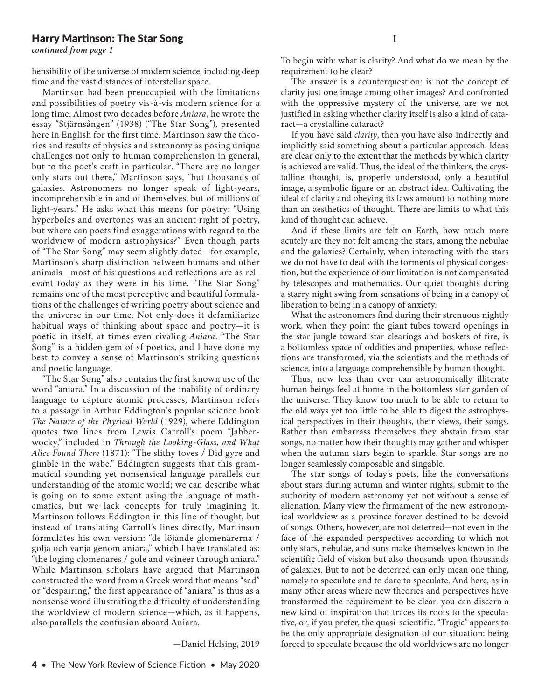#### Harry Martinson: The Star Song

*continued from page 1* 

hensibility of the universe of modern science, including deep time and the vast distances of interstellar space.

Martinson had been preoccupied with the limitations and possibilities of poetry vis-à-vis modern science for a long time. Almost two decades before *Aniara*, he wrote the essay "Stjärnsången" (1938) ("The Star Song"), presented here in English for the first time. Martinson saw the theories and results of physics and astronomy as posing unique challenges not only to human comprehension in general, but to the poet's craft in particular. "There are no longer only stars out there," Martinson says, "but thousands of galaxies. Astronomers no longer speak of light-years, incomprehensible in and of themselves, but of millions of light-years." He asks what this means for poetry: "Using hyperboles and overtones was an ancient right of poetry, but where can poets find exaggerations with regard to the worldview of modern astrophysics?" Even though parts of "The Star Song" may seem slightly dated—for example, Martinson's sharp distinction between humans and other animals—most of his questions and reflections are as relevant today as they were in his time. "The Star Song" remains one of the most perceptive and beautiful formulations of the challenges of writing poetry about science and the universe in our time. Not only does it defamiliarize habitual ways of thinking about space and poetry—it is poetic in itself, at times even rivaling *Aniara*. "The Star Song" is a hidden gem of sf poetics, and I have done my best to convey a sense of Martinson's striking questions and poetic language.

"The Star Song" also contains the first known use of the word "aniara." In a discussion of the inability of ordinary language to capture atomic processes, Martinson refers to a passage in Arthur Eddington's popular science book *The Nature of the Physical World* (1929), where Eddington quotes two lines from Lewis Carroll's poem "Jabberwocky," included in *Through the Looking-Glass, and What Alice Found There* (1871): "The slithy toves / Did gyre and gimble in the wabe." Eddington suggests that this grammatical sounding yet nonsensical language parallels our understanding of the atomic world; we can describe what is going on to some extent using the language of mathematics, but we lack concepts for truly imagining it. Martinson follows Eddington in this line of thought, but instead of translating Carroll's lines directly, Martinson formulates his own version: "de löjande glomenarerna / gölja och vanja genom aniara," which I have translated as: "the loging clomenares / gole and veineer through aniara." While Martinson scholars have argued that Martinson constructed the word from a Greek word that means "sad" or "despairing," the first appearance of "aniara" is thus as a nonsense word illustrating the difficulty of understanding the worldview of modern science—which, as it happens, also parallels the confusion aboard Aniara.

—Daniel Helsing, 2019

To begin with: what is clarity? And what do we mean by the requirement to be clear?

The answer is a counterquestion: is not the concept of clarity just one image among other images? And confronted with the oppressive mystery of the universe, are we not justified in asking whether clarity itself is also a kind of cataract—a crystalline cataract?

If you have said *clarity*, then you have also indirectly and implicitly said something about a particular approach. Ideas are clear only to the extent that the methods by which clarity is achieved are valid. Thus, the ideal of the thinkers, the crystalline thought, is, properly understood, only a beautiful image, a symbolic figure or an abstract idea. Cultivating the ideal of clarity and obeying its laws amount to nothing more than an aesthetics of thought. There are limits to what this kind of thought can achieve.

And if these limits are felt on Earth, how much more acutely are they not felt among the stars, among the nebulae and the galaxies? Certainly, when interacting with the stars we do not have to deal with the torments of physical congestion, but the experience of our limitation is not compensated by telescopes and mathematics. Our quiet thoughts during a starry night swing from sensations of being in a canopy of liberation to being in a canopy of anxiety.

What the astronomers find during their strenuous nightly work, when they point the giant tubes toward openings in the star jungle toward star clearings and boskets of fire, is a bottomless space of oddities and properties, whose reflections are transformed, via the scientists and the methods of science, into a language comprehensible by human thought.

Thus, now less than ever can astronomically illiterate human beings feel at home in the bottomless star garden of the universe. They know too much to be able to return to the old ways yet too little to be able to digest the astrophysical perspectives in their thoughts, their views, their songs. Rather than embarrass themselves they abstain from star songs, no matter how their thoughts may gather and whisper when the autumn stars begin to sparkle. Star songs are no longer seamlessly composable and singable.

The star songs of today's poets, like the conversations about stars during autumn and winter nights, submit to the authority of modern astronomy yet not without a sense of alienation. Many view the firmament of the new astronomical worldview as a province forever destined to be devoid of songs. Others, however, are not deterred—not even in the face of the expanded perspectives according to which not only stars, nebulae, and suns make themselves known in the scientific field of vision but also thousands upon thousands of galaxies. But to not be deterred can only mean one thing, namely to speculate and to dare to speculate. And here, as in many other areas where new theories and perspectives have transformed the requirement to be clear, you can discern a new kind of inspiration that traces its roots to the speculative, or, if you prefer, the quasi-scientific. "Tragic" appears to be the only appropriate designation of our situation: being forced to speculate because the old worldviews are no longer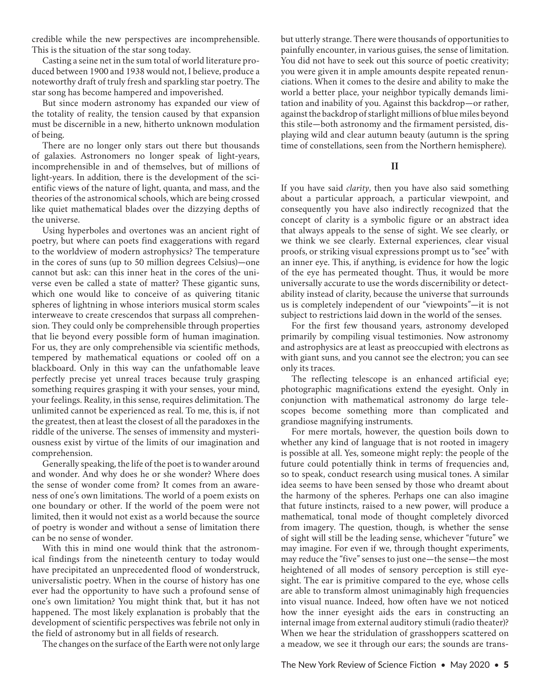credible while the new perspectives are incomprehensible. This is the situation of the star song today.

Casting a seine net in the sum total of world literature produced between 1900 and 1938 would not, I believe, produce a noteworthy draft of truly fresh and sparkling star poetry. The star song has become hampered and impoverished.

But since modern astronomy has expanded our view of the totality of reality, the tension caused by that expansion must be discernible in a new, hitherto unknown modulation of being.

There are no longer only stars out there but thousands of galaxies. Astronomers no longer speak of light-years, incomprehensible in and of themselves, but of millions of light-years. In addition, there is the development of the scientific views of the nature of light, quanta, and mass, and the theories of the astronomical schools, which are being crossed like quiet mathematical blades over the dizzying depths of the universe.

Using hyperboles and overtones was an ancient right of poetry, but where can poets find exaggerations with regard to the worldview of modern astrophysics? The temperature in the cores of suns (up to 50 million degrees Celsius)—one cannot but ask: can this inner heat in the cores of the universe even be called a state of matter? These gigantic suns, which one would like to conceive of as quivering titanic spheres of lightning in whose interiors musical storm scales interweave to create crescendos that surpass all comprehension. They could only be comprehensible through properties that lie beyond every possible form of human imagination. For us, they are only comprehensible via scientific methods, tempered by mathematical equations or cooled off on a blackboard. Only in this way can the unfathomable leave perfectly precise yet unreal traces because truly grasping something requires grasping it with your senses, your mind, your feelings. Reality, in this sense, requires delimitation. The unlimited cannot be experienced as real. To me, this is, if not the greatest, then at least the closest of all the paradoxes in the riddle of the universe. The senses of immensity and mysteriousness exist by virtue of the limits of our imagination and comprehension.

Generally speaking, the life of the poet is to wander around and wonder. And why does he or she wonder? Where does the sense of wonder come from? It comes from an awareness of one's own limitations. The world of a poem exists on one boundary or other. If the world of the poem were not limited, then it would not exist as a world because the source of poetry is wonder and without a sense of limitation there can be no sense of wonder.

With this in mind one would think that the astronomical findings from the nineteenth century to today would have precipitated an unprecedented flood of wonderstruck, universalistic poetry. When in the course of history has one ever had the opportunity to have such a profound sense of one's own limitation? You might think that, but it has not happened. The most likely explanation is probably that the development of scientific perspectives was febrile not only in the field of astronomy but in all fields of research.

The changes on the surface of the Earth were not only large

but utterly strange. There were thousands of opportunities to painfully encounter, in various guises, the sense of limitation. You did not have to seek out this source of poetic creativity; you were given it in ample amounts despite repeated renunciations. When it comes to the desire and ability to make the world a better place, your neighbor typically demands limitation and inability of you. Against this backdrop—or rather, against the backdrop of starlight millions of blue miles beyond this stile—both astronomy and the firmament persisted, displaying wild and clear autumn beauty (autumn is the spring time of constellations, seen from the Northern hemisphere).

**II**

If you have said *clarity*, then you have also said something about a particular approach, a particular viewpoint, and consequently you have also indirectly recognized that the concept of clarity is a symbolic figure or an abstract idea that always appeals to the sense of sight. We see clearly, or we think we see clearly. External experiences, clear visual proofs, or striking visual expressions prompt us to "see" with an inner eye. This, if anything, is evidence for how the logic of the eye has permeated thought. Thus, it would be more universally accurate to use the words discernibility or detectability instead of clarity, because the universe that surrounds us is completely independent of our "viewpoints"—it is not subject to restrictions laid down in the world of the senses.

For the first few thousand years, astronomy developed primarily by compiling visual testimonies. Now astronomy and astrophysics are at least as preoccupied with electrons as with giant suns, and you cannot see the electron; you can see only its traces.

The reflecting telescope is an enhanced artificial eye; photographic magnifications extend the eyesight. Only in conjunction with mathematical astronomy do large telescopes become something more than complicated and grandiose magnifying instruments.

For mere mortals, however, the question boils down to whether any kind of language that is not rooted in imagery is possible at all. Yes, someone might reply: the people of the future could potentially think in terms of frequencies and, so to speak, conduct research using musical tones. A similar idea seems to have been sensed by those who dreamt about the harmony of the spheres. Perhaps one can also imagine that future instincts, raised to a new power, will produce a mathematical, tonal mode of thought completely divorced from imagery. The question, though, is whether the sense of sight will still be the leading sense, whichever "future" we may imagine. For even if we, through thought experiments, may reduce the "five" senses to just one—the sense—the most heightened of all modes of sensory perception is still eyesight. The ear is primitive compared to the eye, whose cells are able to transform almost unimaginably high frequencies into visual nuance. Indeed, how often have we not noticed how the inner eyesight aids the ears in constructing an internal image from external auditory stimuli (radio theater)? When we hear the stridulation of grasshoppers scattered on a meadow, we see it through our ears; the sounds are trans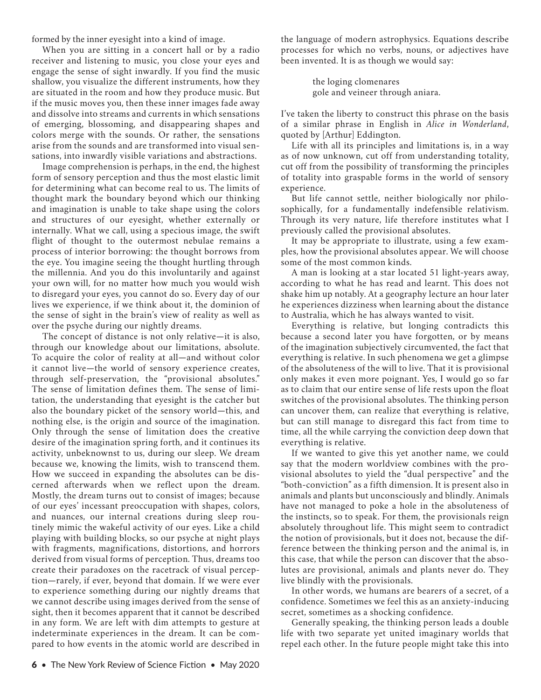formed by the inner eyesight into a kind of image.

When you are sitting in a concert hall or by a radio receiver and listening to music, you close your eyes and engage the sense of sight inwardly. If you find the music shallow, you visualize the different instruments, how they are situated in the room and how they produce music. But if the music moves you, then these inner images fade away and dissolve into streams and currents in which sensations of emerging, blossoming, and disappearing shapes and colors merge with the sounds. Or rather, the sensations arise from the sounds and are transformed into visual sensations, into inwardly visible variations and abstractions.

Image comprehension is perhaps, in the end, the highest form of sensory perception and thus the most elastic limit for determining what can become real to us. The limits of thought mark the boundary beyond which our thinking and imagination is unable to take shape using the colors and structures of our eyesight, whether externally or internally. What we call, using a specious image, the swift flight of thought to the outermost nebulae remains a process of interior borrowing: the thought borrows from the eye. You imagine seeing the thought hurtling through the millennia. And you do this involuntarily and against your own will, for no matter how much you would wish to disregard your eyes, you cannot do so. Every day of our lives we experience, if we think about it, the dominion of the sense of sight in the brain's view of reality as well as over the psyche during our nightly dreams.

The concept of distance is not only relative—it is also, through our knowledge about our limitations, absolute. To acquire the color of reality at all—and without color it cannot live—the world of sensory experience creates, through self-preservation, the "provisional absolutes." The sense of limitation defines them. The sense of limitation, the understanding that eyesight is the catcher but also the boundary picket of the sensory world—this, and nothing else, is the origin and source of the imagination. Only through the sense of limitation does the creative desire of the imagination spring forth, and it continues its activity, unbeknownst to us, during our sleep. We dream because we, knowing the limits, wish to transcend them. How we succeed in expanding the absolutes can be discerned afterwards when we reflect upon the dream. Mostly, the dream turns out to consist of images; because of our eyes' incessant preoccupation with shapes, colors, and nuances, our internal creations during sleep routinely mimic the wakeful activity of our eyes. Like a child playing with building blocks, so our psyche at night plays with fragments, magnifications, distortions, and horrors derived from visual forms of perception. Thus, dreams too create their paradoxes on the racetrack of visual perception—rarely, if ever, beyond that domain. If we were ever to experience something during our nightly dreams that we cannot describe using images derived from the sense of sight, then it becomes apparent that it cannot be described in any form. We are left with dim attempts to gesture at indeterminate experiences in the dream. It can be compared to how events in the atomic world are described in

the language of modern astrophysics. Equations describe processes for which no verbs, nouns, or adjectives have been invented. It is as though we would say:

> the loging clomenares gole and veineer through aniara.

I've taken the liberty to construct this phrase on the basis of a similar phrase in English in *Alice in Wonderland*, quoted by [Arthur] Eddington.

Life with all its principles and limitations is, in a way as of now unknown, cut off from understanding totality, cut off from the possibility of transforming the principles of totality into graspable forms in the world of sensory experience.

But life cannot settle, neither biologically nor philosophically, for a fundamentally indefensible relativism. Through its very nature, life therefore institutes what I previously called the provisional absolutes.

It may be appropriate to illustrate, using a few examples, how the provisional absolutes appear. We will choose some of the most common kinds.

A man is looking at a star located 51 light-years away, according to what he has read and learnt. This does not shake him up notably. At a geography lecture an hour later he experiences dizziness when learning about the distance to Australia, which he has always wanted to visit.

Everything is relative, but longing contradicts this because a second later you have forgotten, or by means of the imagination subjectively circumvented, the fact that everything is relative. In such phenomena we get a glimpse of the absoluteness of the will to live. That it is provisional only makes it even more poignant. Yes, I would go so far as to claim that our entire sense of life rests upon the float switches of the provisional absolutes. The thinking person can uncover them, can realize that everything is relative, but can still manage to disregard this fact from time to time, all the while carrying the conviction deep down that everything is relative.

If we wanted to give this yet another name, we could say that the modern worldview combines with the provisional absolutes to yield the "dual perspective" and the "both-conviction" as a fifth dimension. It is present also in animals and plants but unconsciously and blindly. Animals have not managed to poke a hole in the absoluteness of the instincts, so to speak. For them, the provisionals reign absolutely throughout life. This might seem to contradict the notion of provisionals, but it does not, because the difference between the thinking person and the animal is, in this case, that while the person can discover that the absolutes are provisional, animals and plants never do. They live blindly with the provisionals.

In other words, we humans are bearers of a secret, of a confidence. Sometimes we feel this as an anxiety-inducing secret, sometimes as a shocking confidence.

Generally speaking, the thinking person leads a double life with two separate yet united imaginary worlds that repel each other. In the future people might take this into